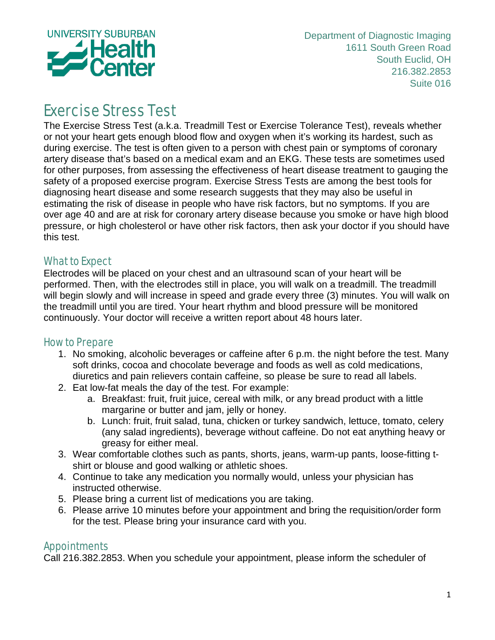

Department of Diagnostic Imaging 1611 South Green Road South Euclid, OH 216.382.2853 Suite 016

## Exercise Stress Test

The Exercise Stress Test (a.k.a. Treadmill Test or Exercise Tolerance Test), reveals whether or not your heart gets enough blood flow and oxygen when it's working its hardest, such as during exercise. The test is often given to a person with chest pain or symptoms of coronary artery disease that's based on a medical exam and an EKG. These tests are sometimes used for other purposes, from assessing the effectiveness of heart disease treatment to gauging the safety of a proposed exercise program. Exercise Stress Tests are among the best tools for diagnosing heart disease and some research suggests that they may also be useful in estimating the risk of disease in people who have risk factors, but no symptoms. If you are over age 40 and are at risk for coronary artery disease because you smoke or have high blood pressure, or high cholesterol or have other risk factors, then ask your doctor if you should have this test.

## What to Expect

Electrodes will be placed on your chest and an ultrasound scan of your heart will be performed. Then, with the electrodes still in place, you will walk on a treadmill. The treadmill will begin slowly and will increase in speed and grade every three (3) minutes. You will walk on the treadmill until you are tired. Your heart rhythm and blood pressure will be monitored continuously. Your doctor will receive a written report about 48 hours later.

## How to Prepare

- 1. No smoking, alcoholic beverages or caffeine after 6 p.m. the night before the test. Many soft drinks, cocoa and chocolate beverage and foods as well as cold medications, diuretics and pain relievers contain caffeine, so please be sure to read all labels.
- 2. Eat low-fat meals the day of the test. For example:
	- a. Breakfast: fruit, fruit juice, cereal with milk, or any bread product with a little margarine or butter and jam, jelly or honey.
	- b. Lunch: fruit, fruit salad, tuna, chicken or turkey sandwich, lettuce, tomato, celery (any salad ingredients), beverage without caffeine. Do not eat anything heavy or greasy for either meal.
- 3. Wear comfortable clothes such as pants, shorts, jeans, warm-up pants, loose-fitting tshirt or blouse and good walking or athletic shoes.
- 4. Continue to take any medication you normally would, unless your physician has instructed otherwise.
- 5. Please bring a current list of medications you are taking.
- 6. Please arrive 10 minutes before your appointment and bring the requisition/order form for the test. Please bring your insurance card with you.

## Appointments

Call 216.382.2853. When you schedule your appointment, please inform the scheduler of